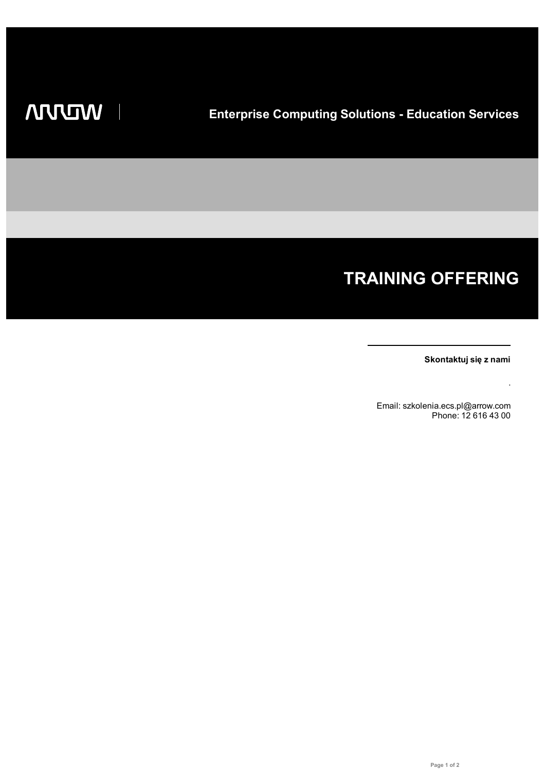I

# **TRAINING OFFERING**

**Skontaktuj się z nami**

.

Email: szkolenia.ecs.pl@arrow.com Phone: 12 616 43 00